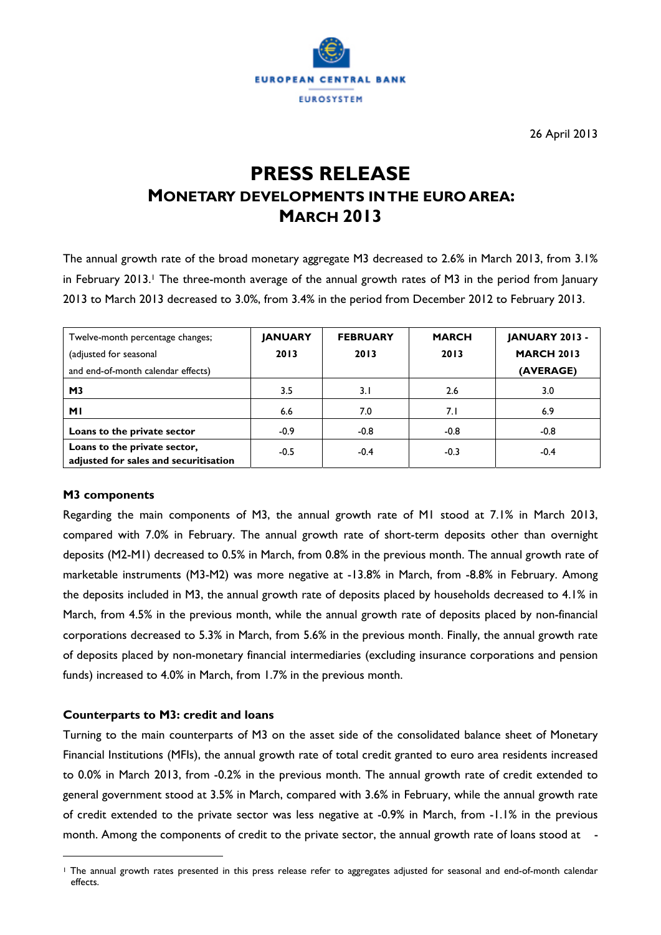

26 April 2013

# **PRESS RELEASE MONETARY DEVELOPMENTS IN THE EURO AREA: MARCH 2013**

The annual growth rate of the broad monetary aggregate M3 decreased to 2.6% in March 2013, from 3.1% in February 2013.<sup>1</sup> The three-month average of the annual growth rates of M3 in the period from January 2013 to March 2013 decreased to 3.0%, from 3.4% in the period from December 2012 to February 2013.

| Twelve-month percentage changes;<br>(adjusted for seasonal<br>and end-of-month calendar effects) | <b>JANUARY</b><br>2013 | <b>FEBRUARY</b><br>2013 | <b>MARCH</b><br>2013 | <b>JANUARY 2013 -</b><br><b>MARCH 2013</b><br>(AVERAGE) |
|--------------------------------------------------------------------------------------------------|------------------------|-------------------------|----------------------|---------------------------------------------------------|
| M <sub>3</sub>                                                                                   | 3.5                    | 3.1                     | 2.6                  | 3.0                                                     |
| <b>MI</b>                                                                                        | 6.6                    | 7.0                     | 7.1                  | 6.9                                                     |
| Loans to the private sector                                                                      | $-0.9$                 | $-0.8$                  | $-0.8$               | $-0.8$                                                  |
| Loans to the private sector,<br>adjusted for sales and securitisation                            | $-0.5$                 | $-0.4$                  | $-0.3$               | $-0.4$                                                  |

#### **M3 components**

 $\overline{a}$ 

Regarding the main components of M3, the annual growth rate of M1 stood at 7.1% in March 2013, compared with 7.0% in February. The annual growth rate of short-term deposits other than overnight deposits (M2-M1) decreased to 0.5% in March, from 0.8% in the previous month. The annual growth rate of marketable instruments (M3-M2) was more negative at -13.8% in March, from -8.8% in February. Among the deposits included in M3, the annual growth rate of deposits placed by households decreased to 4.1% in March, from 4.5% in the previous month, while the annual growth rate of deposits placed by non-financial corporations decreased to 5.3% in March, from 5.6% in the previous month. Finally, the annual growth rate of deposits placed by non-monetary financial intermediaries (excluding insurance corporations and pension funds) increased to 4.0% in March, from 1.7% in the previous month.

#### **Counterparts to M3: credit and loans**

Turning to the main counterparts of M3 on the asset side of the consolidated balance sheet of Monetary Financial Institutions (MFIs), the annual growth rate of total credit granted to euro area residents increased to 0.0% in March 2013, from -0.2% in the previous month. The annual growth rate of credit extended to general government stood at 3.5% in March, compared with 3.6% in February, while the annual growth rate of credit extended to the private sector was less negative at -0.9% in March, from -1.1% in the previous month. Among the components of credit to the private sector, the annual growth rate of loans stood at -

<sup>1</sup> The annual growth rates presented in this press release refer to aggregates adjusted for seasonal and end-of-month calendar effects.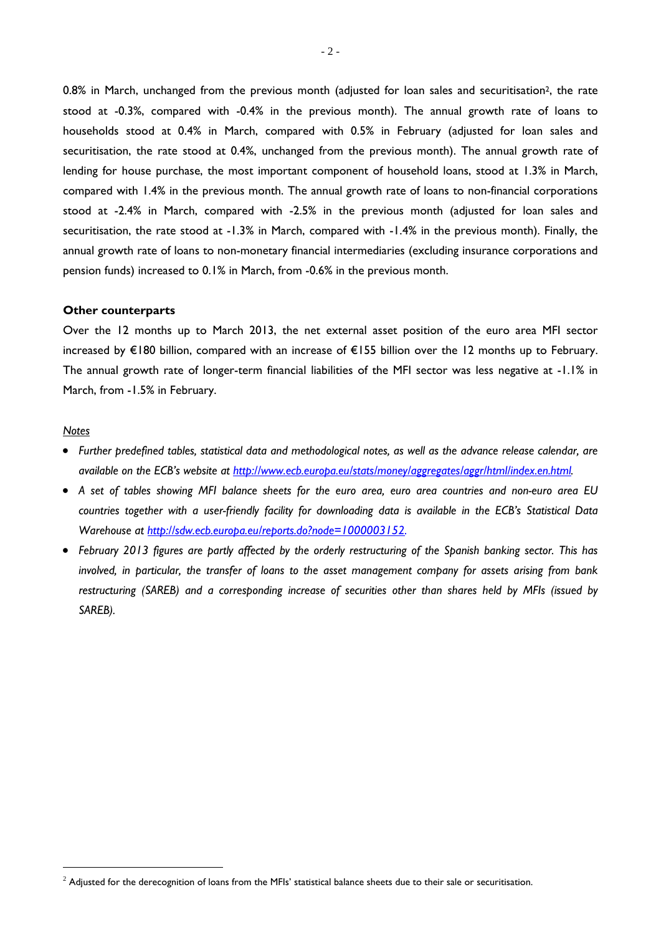0.8% in March, unchanged from the previous month (adjusted for loan sales and securitisation<sup>2</sup>, the rate stood at -0.3%, compared with -0.4% in the previous month). The annual growth rate of loans to households stood at 0.4% in March, compared with 0.5% in February (adjusted for loan sales and securitisation, the rate stood at 0.4%, unchanged from the previous month). The annual growth rate of lending for house purchase, the most important component of household loans, stood at 1.3% in March, compared with 1.4% in the previous month. The annual growth rate of loans to non-financial corporations stood at -2.4% in March, compared with -2.5% in the previous month (adjusted for loan sales and securitisation, the rate stood at -1.3% in March, compared with -1.4% in the previous month). Finally, the annual growth rate of loans to non-monetary financial intermediaries (excluding insurance corporations and pension funds) increased to 0.1% in March, from -0.6% in the previous month.

#### **Other counterparts**

Over the 12 months up to March 2013, the net external asset position of the euro area MFI sector increased by €180 billion, compared with an increase of €155 billion over the 12 months up to February. The annual growth rate of longer-term financial liabilities of the MFI sector was less negative at -1.1% in March, from -1.5% in February.

#### *Notes*

 $\overline{a}$ 

- *Further predefined tables, statistical data and methodological notes, as well as the advance release calendar, are available on the ECB's website at http://www.ecb.europa.eu/stats/money/aggregates/aggr/html/index.en.html.*
- *A set of tables showing MFI balance sheets for the euro area, euro area countries and non-euro area EU countries together with a user-friendly facility for downloading data is available in the ECB's Statistical Data Warehouse at http://sdw.ecb.europa.eu/reports.do?node=1000003152.*
- *February 2013 figures are partly affected by the orderly restructuring of the Spanish banking sector. This has involved, in particular, the transfer of loans to the asset management company for assets arising from bank restructuring (SAREB) and a corresponding increase of securities other than shares held by MFIs (issued by SAREB).*

 $^2$  Adjusted for the derecognition of loans from the MFIs' statistical balance sheets due to their sale or securitisation.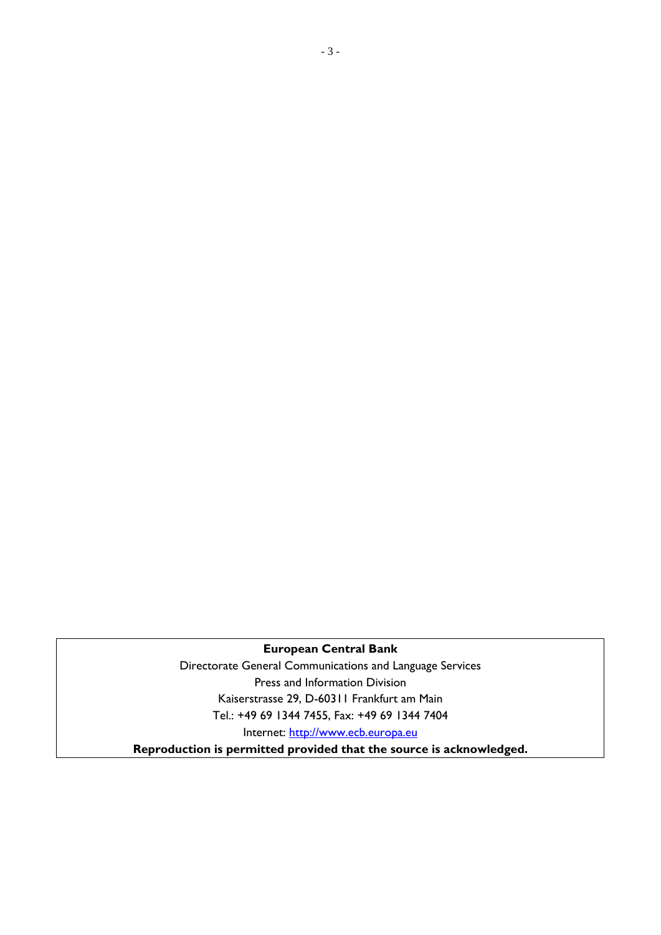# **European Central Bank**

Directorate General Communications and Language Services Press and Information Division Kaiserstrasse 29, D-60311 Frankfurt am Main Tel.: +49 69 1344 7455, Fax: +49 69 1344 7404 Internet: http://www.ecb.europa.eu

**Reproduction is permitted provided that the source is acknowledged.**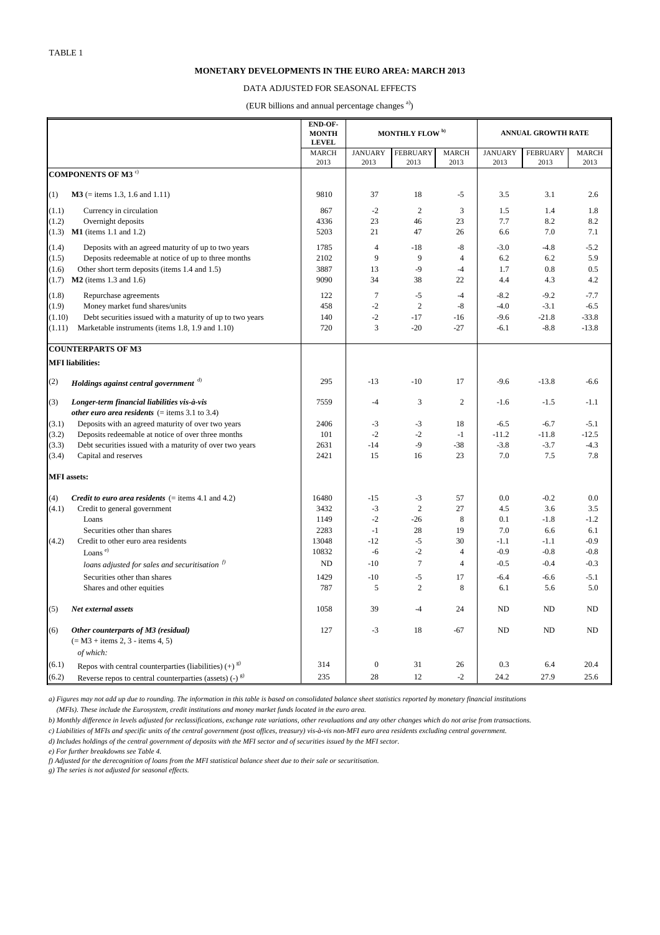|                    |                                                              | <b>END-OF-</b><br><b>MONTH</b><br><b>LEVEL</b> | MONTHLY FLOW <sup>b)</sup> |                 |                | <b>ANNUAL GROWTH RATE</b> |                 |              |  |
|--------------------|--------------------------------------------------------------|------------------------------------------------|----------------------------|-----------------|----------------|---------------------------|-----------------|--------------|--|
|                    |                                                              | <b>MARCH</b>                                   | <b>JANUARY</b>             | <b>FEBRUARY</b> | <b>MARCH</b>   | <b>JANUARY</b>            | <b>FEBRUARY</b> | <b>MARCH</b> |  |
|                    |                                                              | 2013                                           | 2013                       | 2013            | 2013           | 2013                      | 2013            | 2013         |  |
|                    | COMPONENTS OF M3 $^{\circ}$                                  |                                                |                            |                 |                |                           |                 |              |  |
| (1)                | $M3$ (= items 1.3, 1.6 and 1.11)                             | 9810                                           | 37                         | 18              | $-5$           | 3.5                       | 3.1             | 2.6          |  |
| (1.1)              | Currency in circulation                                      | 867                                            | $-2$                       | $\mathfrak{2}$  | 3              | 1.5                       | 1.4             | 1.8          |  |
| (1.2)              | Overnight deposits                                           | 4336                                           | 23                         | 46              | 23             | 7.7                       | 8.2             | 8.2          |  |
| (1.3)              | $M1$ (items 1.1 and 1.2)                                     | 5203                                           | 21                         | 47              | 26             | 6.6                       | 7.0             | 7.1          |  |
| (1.4)              | Deposits with an agreed maturity of up to two years          | 1785                                           | $\overline{4}$             | $-18$           | $-8$           | $-3.0$                    | $-4.8$          | $-5.2$       |  |
| (1.5)              | Deposits redeemable at notice of up to three months          | 2102                                           | 9                          | 9               | 4              | 6.2                       | 6.2             | 5.9          |  |
| (1.6)              | Other short term deposits (items 1.4 and 1.5)                | 3887                                           | 13                         | $-9$            | -4             | 1.7                       | 0.8             | 0.5          |  |
| (1.7)              | $M2$ (items 1.3 and 1.6)                                     | 9090                                           | 34                         | 38              | 22             | 4.4                       | 4.3             | 4.2          |  |
| (1.8)              | Repurchase agreements                                        | 122                                            | $\overline{7}$             | $-5$            | $-4$           | $-8.2$                    | $-9.2$          | $-7.7$       |  |
| (1.9)              | Money market fund shares/units                               | 458                                            | $-2$                       | $\overline{2}$  | $-8$           | $-4.0$                    | $-3.1$          | $-6.5$       |  |
| (1.10)             | Debt securities issued with a maturity of up to two years    | 140                                            | $-2$                       | $-17$           | $-16$          | $-9.6$                    | $-21.8$         | $-33.8$      |  |
| (1.11)             | Marketable instruments (items 1.8, 1.9 and 1.10)             | 720                                            | 3                          | $-20$           | $-27$          | $-6.1$                    | $-8.8$          | $-13.8$      |  |
|                    |                                                              |                                                |                            |                 |                |                           |                 |              |  |
|                    | <b>COUNTERPARTS OF M3</b>                                    |                                                |                            |                 |                |                           |                 |              |  |
|                    | <b>MFI</b> liabilities:                                      |                                                |                            |                 |                |                           |                 |              |  |
| (2)                | Holdings against central government d)                       | 295                                            | $-13$                      | $-10$           | 17             | $-9.6$                    | $-13.8$         | $-6.6$       |  |
| (3)                | Longer-term financial liabilities vis-à-vis                  | 7559                                           | $-4$                       | 3               | 2              | $-1.6$                    | $-1.5$          | $-1.1$       |  |
|                    | other euro area residents $($ = items 3.1 to 3.4)            |                                                |                            |                 |                |                           |                 |              |  |
| (3.1)              | Deposits with an agreed maturity of over two years           | 2406                                           | $-3$                       | $-3$            | 18             | $-6.5$                    | $-6.7$          | $-5.1$       |  |
| (3.2)              | Deposits redeemable at notice of over three months           | 101                                            | $-2$                       | $-2$            | $-1$           | $-11.2$                   | $-11.8$         | $-12.5$      |  |
| (3.3)              | Debt securities issued with a maturity of over two years     | 2631                                           | -14                        | -9              | $-38$          | $-3.8$                    | $-3.7$          | $-4.3$       |  |
| (3.4)              | Capital and reserves                                         | 2421                                           | 15                         | 16              | 23             | 7.0                       | 7.5             | 7.8          |  |
| <b>MFI</b> assets: |                                                              |                                                |                            |                 |                |                           |                 |              |  |
| (4)                | <i>Credit to euro area residents</i> $(=$ items 4.1 and 4.2) | 16480                                          | $-15$                      | $-3$            | 57             | 0.0                       | $-0.2$          | 0.0          |  |
| (4.1)              | Credit to general government                                 | 3432                                           | $-3$                       | $\mathbf{2}$    | 27             | 4.5                       | 3.6             | 3.5          |  |
|                    | Loans                                                        | 1149                                           | $-2$                       | $-26$           | 8              | 0.1                       | $-1.8$          | $-1.2$       |  |
|                    | Securities other than shares                                 | 2283                                           | $-1$                       | 28              | 19             | 7.0                       | 6.6             | 6.1          |  |
| (4.2)              | Credit to other euro area residents                          | 13048                                          | $-12$                      | $-5$            | 30             | $-1.1$                    | $-1.1$          | $-0.9$       |  |
|                    | Loans <sup>e)</sup>                                          | 10832                                          | $-6$                       | $-2$            | 4              | $-0.9$                    | $-0.8$          | $-0.8$       |  |
|                    | loans adjusted for sales and securitisation $\beta$          | <b>ND</b>                                      | $-10$                      | $\tau$          | $\overline{4}$ | $-0.5$                    | $-0.4$          | $-0.3$       |  |
|                    | Securities other than shares                                 | 1429                                           | $-10$                      | $-5$            | 17             | $-6.4$                    | $-6.6$          | $-5.1$       |  |
|                    | Shares and other equities                                    | 787                                            | 5                          | $\overline{2}$  | 8              | 6.1                       | 5.6             | 5.0          |  |
|                    |                                                              |                                                |                            |                 |                |                           |                 |              |  |
| (5)                | Net external assets                                          | 1058                                           | 39                         | $-4$            | 24             | <b>ND</b>                 | <b>ND</b>       | <b>ND</b>    |  |
| (6)                | Other counterparts of M3 (residual)                          | 127                                            | $-3$                       | 18              | $-67$          | ND                        | <b>ND</b>       | <b>ND</b>    |  |
|                    | $(= M3 + items 2, 3 - items 4, 5)$                           |                                                |                            |                 |                |                           |                 |              |  |
|                    | of which:                                                    |                                                |                            |                 |                |                           |                 |              |  |
| (6.1)              | Repos with central counterparties (liabilities) $(+)^{g}$    | 314                                            | $\boldsymbol{0}$           | 31              | 26             | 0.3                       | 6.4             | 20.4         |  |
| (6.2)              | Reverse repos to central counterparties (assets) $(-)^{g}$   | 235                                            | 28                         | 12              | $-2$           | 24.2                      | 27.9            | 25.6         |  |

*f) Adjusted for the derecognition of loans from the MFI statistical balance sheet due to their sale or securitisation.*

*g) The series is not adjusted for seasonal effects.*

# **MONETARY DEVELOPMENTS IN THE EURO AREA: MARCH 2013**

# DATA ADJUSTED FOR SEASONAL EFFECTS

(EUR billions and annual percentage changes<sup>a)</sup>)

*d) Includes holdings of the central government of deposits with the MFI sector and of securities issued by the MFI sector.*

*e) For further breakdowns see Table 4.*

*a) Figures may not add up due to rounding. The information in this table is based on consolidated balance sheet statistics reported by monetary financial institutions*

 *(MFIs). These include the Eurosystem, credit institutions and money market funds located in the euro area.*

*b) Monthly difference in levels adjusted for reclassifications, exchange rate variations, other revaluations and any other changes which do not arise from transactions.*

*c) Liabilities of MFIs and specific units of the central government (post offices, treasury) vis-à-vis non-MFI euro area residents excluding central government.*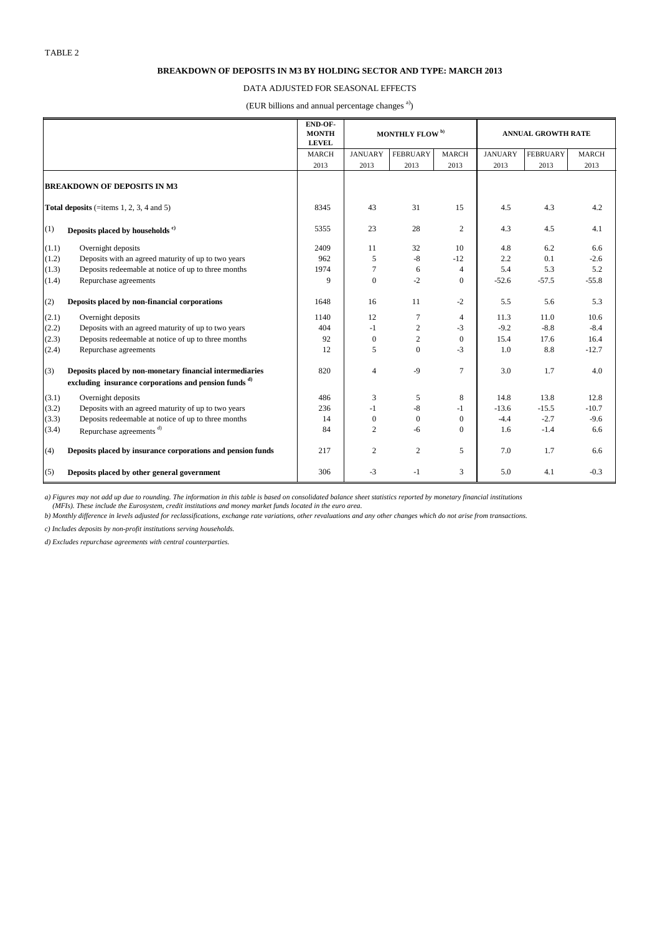|                                    |                                                                  | END-OF-<br><b>MONTH</b><br><b>LEVEL</b> | <b>MONTHLY FLOW</b> <sup>b)</sup> |                 |                  | <b>ANNUAL GROWTH RATE</b> |                 |              |  |
|------------------------------------|------------------------------------------------------------------|-----------------------------------------|-----------------------------------|-----------------|------------------|---------------------------|-----------------|--------------|--|
|                                    |                                                                  | <b>MARCH</b>                            | <b>JANUARY</b>                    | <b>FEBRUARY</b> | <b>MARCH</b>     | <b>JANUARY</b>            | <b>FEBRUARY</b> | <b>MARCH</b> |  |
|                                    |                                                                  | 2013                                    | 2013                              | 2013            | 2013             | 2013                      | 2013            | 2013         |  |
| <b>BREAKDOWN OF DEPOSITS IN M3</b> |                                                                  |                                         |                                   |                 |                  |                           |                 |              |  |
|                                    | Total deposits (=items $1, 2, 3, 4$ and $5$ )                    | 8345                                    | 43                                | 31              | 15               | 4.5                       | 4.3             | 4.2          |  |
| (1)                                | Deposits placed by households <sup>c)</sup>                      | 5355                                    | 23                                | 28              | $\sqrt{2}$       | 4.3                       | 4.5             | 4.1          |  |
| (1.1)                              | Overnight deposits                                               | 2409                                    | 11                                | 32              | 10               | 4.8                       | 6.2             | 6.6          |  |
| (1.2)                              | Deposits with an agreed maturity of up to two years              | 962                                     | $\sqrt{5}$                        | $-8$            | $-12$            | 2.2                       | 0.1             | $-2.6$       |  |
| (1.3)                              | Deposits redeemable at notice of up to three months              | 1974                                    | $\tau$                            | 6               | $\overline{4}$   | 5.4                       | 5.3             | 5.2          |  |
| (1.4)                              | Repurchase agreements                                            | 9                                       | $\boldsymbol{0}$                  | $-2$            | $\mathbf{0}$     | $-52.6$                   | $-57.5$         | $-55.8$      |  |
| (2)                                | Deposits placed by non-financial corporations                    | 1648                                    | 16                                | 11              | $-2$             | 5.5                       | 5.6             | 5.3          |  |
| (2.1)                              | Overnight deposits                                               | 1140                                    | 12                                | 7               | $\overline{4}$   | 11.3                      | 11.0            | 10.6         |  |
| (2.2)                              | Deposits with an agreed maturity of up to two years              | 404                                     | $-1$                              | $\overline{2}$  | $-3$             | $-9.2$                    | $-8.8$          | $-8.4$       |  |
| (2.3)                              | Deposits redeemable at notice of up to three months              | 92                                      | $\boldsymbol{0}$                  | $\overline{2}$  | $\boldsymbol{0}$ | 15.4                      | 17.6            | 16.4         |  |
| (2.4)                              | Repurchase agreements                                            | 12                                      | 5                                 | $\overline{0}$  | $-3$             | 1.0                       | 8.8             | $-12.7$      |  |
| (3)                                | Deposits placed by non-monetary financial intermediaries         | 820                                     | $\overline{4}$                    | $-9$            | $\boldsymbol{7}$ | 3.0                       | 1.7             | 4.0          |  |
|                                    | excluding insurance corporations and pension funds <sup>d)</sup> |                                         |                                   |                 |                  |                           |                 |              |  |
| (3.1)                              | Overnight deposits                                               | 486                                     | $\mathfrak{Z}$                    | 5               | 8                | 14.8                      | 13.8            | 12.8         |  |
| (3.2)                              | Deposits with an agreed maturity of up to two years              | 236                                     | $-1$                              | $-8$            | $-1$             | $-13.6$                   | $-15.5$         | $-10.7$      |  |
| (3.3)                              | Deposits redeemable at notice of up to three months              | 14                                      | $\boldsymbol{0}$                  | $\overline{0}$  | $\mathbf{0}$     | $-4.4$                    | $-2.7$          | $-9.6$       |  |
| (3.4)                              | Repurchase agreements <sup>d)</sup>                              | 84                                      | $\overline{2}$                    | $-6$            | $\boldsymbol{0}$ | 1.6                       | $-1.4$          | 6.6          |  |
| (4)                                | Deposits placed by insurance corporations and pension funds      | 217                                     | $\overline{2}$                    | $\overline{2}$  | 5                | 7.0                       | 1.7             | 6.6          |  |
| (5)                                | Deposits placed by other general government                      | 306                                     | $-3$                              | $-1$            | 3                | 5.0                       | 4.1             | $-0.3$       |  |

## **BREAKDOWN OF DEPOSITS IN M3 BY HOLDING SECTOR AND TYPE: MARCH 2013**

### DATA ADJUSTED FOR SEASONAL EFFECTS

(EUR billions and annual percentage changes<sup>a)</sup>)

*a) Figures may not add up due to rounding. The information in this table is based on consolidated balance sheet statistics reported by monetary financial institutions (MFIs). These include the Eurosystem, credit institutions and money market funds located in the euro area.*

*b) Monthly difference in levels adjusted for reclassifications, exchange rate variations, other revaluations and any other changes which do not arise from transactions.*

*c) Includes deposits by non-profit institutions serving households.*

*d) Excludes repurchase agreements with central counterparties.*